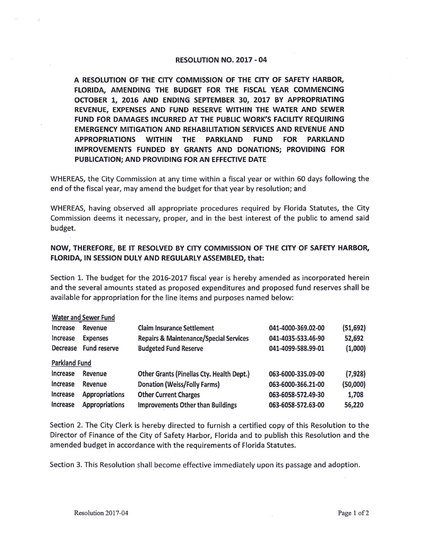## **RESOLUTION NO. 2017** - **04**

**A RESOLUTION OF THE CITY COMMISSION OF THE CITY OF SAFETY HARBOR, FLORIDA, AMENDING** THE **BUDGET FOR** THE **FISCAL YEAR COMMENCING OCTOBER** 1, **2016 AND ENDING SEPTEMBER 30, 2017 BY APPROPRIATING REVENUE, EXPENSES AND FUND RESERVE WITHIN THE WATER AND SEWER FUND FOR DAMAGES INCURRED AT** THE **PUBLIC WORK'S FACILITY REQUIRING EMERGENCY MITIGATION AND REHABILITATION SERVICES AND REVENUE AND APPROPRIATIONS WITHIN** THE **PARKLAND FUND FOR PARKLAND IMPROVEMENTS FUNDED BY GRANTS AND DONATIONS; PROVIDING FOR PUBLICATION; AND PROVIDING FOR AN EFFECTIVE DATE** 

WHEREAS, the City Commission at any time within a fiscal year or within 60 days following the end of the fiscal year, may amend the budget for that year by resolution; and

WHEREAS, having observed all appropriate procedures required by Florida Statutes, the City Commission deems it necessary, proper, and in the best interest of the public to amend said budget.

## **NOW, THEREFORE, BE IT RESOLVED BY CITY COMMISSION OF THE CITY OF SAFETY HARBOR, FLORIDA, IN SESSION DULY AND REGULARLY ASSEMBLED, that:**

Section 1. The budget for the 2016-2017 fiscal year is hereby amended as incorporated herein and the several amounts stated as proposed expenditures and proposed fund reserves shall be available for appropriation for the line items and purposes named below:

| <b>Water and Sewer Fund</b> |                       |                                                   |                    |           |
|-----------------------------|-----------------------|---------------------------------------------------|--------------------|-----------|
| Increase                    | Revenue               | <b>Claim Insurance Settlement</b>                 | 041-4000-369.02-00 | (51, 692) |
| Increase                    | <b>Expenses</b>       | <b>Repairs &amp; Maintenance/Special Services</b> | 041-4035-533.46-90 | 52,692    |
| <b>Decrease</b>             | <b>Fund reserve</b>   | <b>Budgeted Fund Reserve</b>                      | 041-4099-588.99-01 | (1,000)   |
| <b>Parkland Fund</b>        |                       |                                                   |                    |           |
| Increase                    | Revenue               | Other Grants (Pinellas Cty. Health Dept.)         | 063-6000-335.09-00 | (7, 928)  |
| <b>Increase</b>             | Revenue               | <b>Donation (Weiss/Folly Farms)</b>               | 063-6000-366.21-00 | (50,000)  |
| Increase                    | <b>Appropriations</b> | <b>Other Current Charges</b>                      | 063-6058-572.49-30 | 1,708     |
| <b>Increase</b>             | <b>Appropriations</b> | <b>Improvements Other than Buildings</b>          | 063-6058-572.63-00 | 56,220    |

Section 2. The City Clerk is hereby directed to furnish a certified copy of this Resolution to the Director of Finance of the City of Safety Harbor, Florida and to publish this Resolution and the amended budget in accordance with the requirements of Florida Statutes.

Section 3. This Resolution shall become effective immediately upon its passage and adoption.